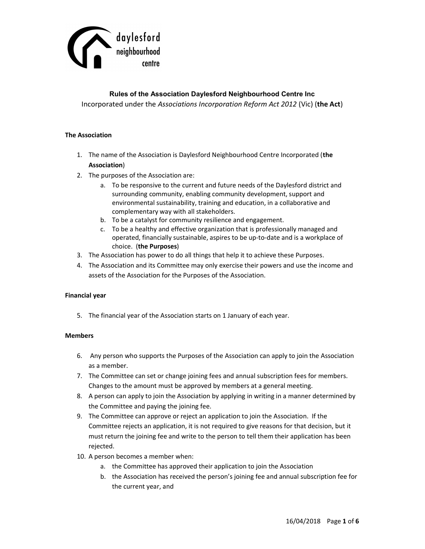

# Rules of the Association Daylesford Neighbourhood Centre Inc Incorporated under the Associations Incorporation Reform Act 2012 (Vic) (the Act)

## The Association

- 1. The name of the Association is Daylesford Neighbourhood Centre Incorporated (the Association)
- 2. The purposes of the Association are:
	- a. To be responsive to the current and future needs of the Daylesford district and surrounding community, enabling community development, support and environmental sustainability, training and education, in a collaborative and complementary way with all stakeholders.
	- b. To be a catalyst for community resilience and engagement.
	- c. To be a healthy and effective organization that is professionally managed and operated, financially sustainable, aspires to be up-to-date and is a workplace of choice. (the Purposes)
- 3. The Association has power to do all things that help it to achieve these Purposes.
- 4. The Association and its Committee may only exercise their powers and use the income and assets of the Association for the Purposes of the Association.

### Financial year

5. The financial year of the Association starts on 1 January of each year.

### **Members**

- 6. Any person who supports the Purposes of the Association can apply to join the Association as a member.
- 7. The Committee can set or change joining fees and annual subscription fees for members. Changes to the amount must be approved by members at a general meeting.
- 8. A person can apply to join the Association by applying in writing in a manner determined by the Committee and paying the joining fee.
- 9. The Committee can approve or reject an application to join the Association. If the Committee rejects an application, it is not required to give reasons for that decision, but it must return the joining fee and write to the person to tell them their application has been rejected.
- 10. A person becomes a member when:
	- a. the Committee has approved their application to join the Association
	- b. the Association has received the person's joining fee and annual subscription fee for the current year, and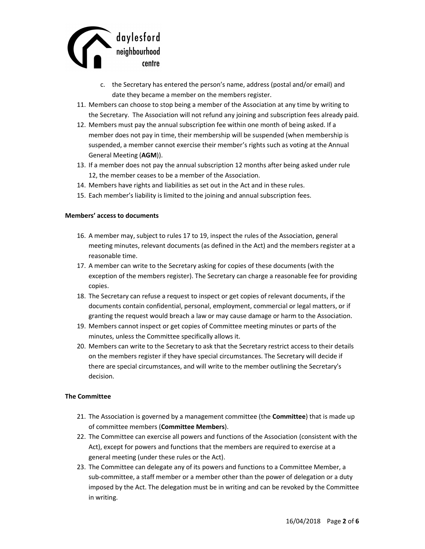

- c. the Secretary has entered the person's name, address (postal and/or email) and date they became a member on the members register.
- 11. Members can choose to stop being a member of the Association at any time by writing to the Secretary. The Association will not refund any joining and subscription fees already paid.
- 12. Members must pay the annual subscription fee within one month of being asked. If a member does not pay in time, their membership will be suspended (when membership is suspended, a member cannot exercise their member's rights such as voting at the Annual General Meeting (AGM)).
- 13. If a member does not pay the annual subscription 12 months after being asked under rule 12, the member ceases to be a member of the Association.
- 14. Members have rights and liabilities as set out in the Act and in these rules.
- 15. Each member's liability is limited to the joining and annual subscription fees.

#### Members' access to documents

- 16. A member may, subject to rules 17 to 19, inspect the rules of the Association, general meeting minutes, relevant documents (as defined in the Act) and the members register at a reasonable time.
- 17. A member can write to the Secretary asking for copies of these documents (with the exception of the members register). The Secretary can charge a reasonable fee for providing copies.
- 18. The Secretary can refuse a request to inspect or get copies of relevant documents, if the documents contain confidential, personal, employment, commercial or legal matters, or if granting the request would breach a law or may cause damage or harm to the Association.
- 19. Members cannot inspect or get copies of Committee meeting minutes or parts of the minutes, unless the Committee specifically allows it.
- 20. Members can write to the Secretary to ask that the Secretary restrict access to their details on the members register if they have special circumstances. The Secretary will decide if there are special circumstances, and will write to the member outlining the Secretary's decision.

### The Committee

- 21. The Association is governed by a management committee (the **Committee**) that is made up of committee members (Committee Members).
- 22. The Committee can exercise all powers and functions of the Association (consistent with the Act), except for powers and functions that the members are required to exercise at a general meeting (under these rules or the Act).
- 23. The Committee can delegate any of its powers and functions to a Committee Member, a sub-committee, a staff member or a member other than the power of delegation or a duty imposed by the Act. The delegation must be in writing and can be revoked by the Committee in writing.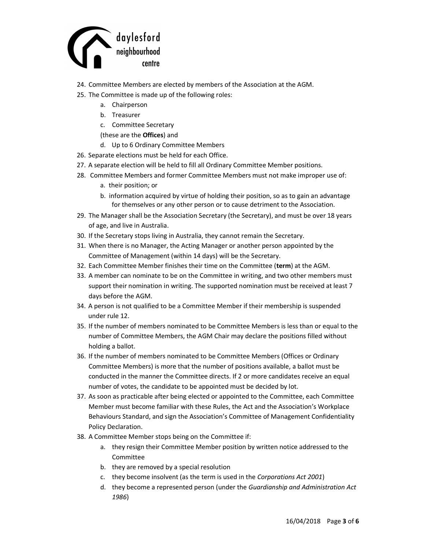

- 24. Committee Members are elected by members of the Association at the AGM.
- 25. The Committee is made up of the following roles:
	- a. Chairperson
	- b. Treasurer
	- c. Committee Secretary
	- (these are the Offices) and
	- d. Up to 6 Ordinary Committee Members
- 26. Separate elections must be held for each Office.
- 27. A separate election will be held to fill all Ordinary Committee Member positions.
- 28. Committee Members and former Committee Members must not make improper use of:
	- a. their position; or
	- b. information acquired by virtue of holding their position, so as to gain an advantage for themselves or any other person or to cause detriment to the Association.
- 29. The Manager shall be the Association Secretary (the Secretary), and must be over 18 years of age, and live in Australia.
- 30. If the Secretary stops living in Australia, they cannot remain the Secretary.
- 31. When there is no Manager, the Acting Manager or another person appointed by the Committee of Management (within 14 days) will be the Secretary.
- 32. Each Committee Member finishes their time on the Committee (term) at the AGM.
- 33. A member can nominate to be on the Committee in writing, and two other members must support their nomination in writing. The supported nomination must be received at least 7 days before the AGM.
- 34. A person is not qualified to be a Committee Member if their membership is suspended under rule 12.
- 35. If the number of members nominated to be Committee Members is less than or equal to the number of Committee Members, the AGM Chair may declare the positions filled without holding a ballot.
- 36. If the number of members nominated to be Committee Members (Offices or Ordinary Committee Members) is more that the number of positions available, a ballot must be conducted in the manner the Committee directs. If 2 or more candidates receive an equal number of votes, the candidate to be appointed must be decided by lot.
- 37. As soon as practicable after being elected or appointed to the Committee, each Committee Member must become familiar with these Rules, the Act and the Association's Workplace Behaviours Standard, and sign the Association's Committee of Management Confidentiality Policy Declaration.
- 38. A Committee Member stops being on the Committee if:
	- a. they resign their Committee Member position by written notice addressed to the Committee
	- b. they are removed by a special resolution
	- c. they become insolvent (as the term is used in the Corporations Act 2001)
	- d. they become a represented person (under the Guardianship and Administration Act 1986)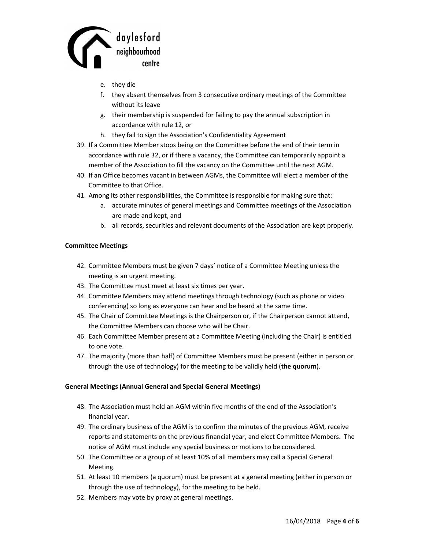

- e. they die
- f. they absent themselves from 3 consecutive ordinary meetings of the Committee without its leave
- g. their membership is suspended for failing to pay the annual subscription in accordance with rule 12, or
- h. they fail to sign the Association's Confidentiality Agreement
- 39. If a Committee Member stops being on the Committee before the end of their term in accordance with rule 32, or if there a vacancy, the Committee can temporarily appoint a member of the Association to fill the vacancy on the Committee until the next AGM.
- 40. If an Office becomes vacant in between AGMs, the Committee will elect a member of the Committee to that Office.
- 41. Among its other responsibilities, the Committee is responsible for making sure that:
	- a. accurate minutes of general meetings and Committee meetings of the Association are made and kept, and
	- b. all records, securities and relevant documents of the Association are kept properly.

## Committee Meetings

- 42. Committee Members must be given 7 days' notice of a Committee Meeting unless the meeting is an urgent meeting.
- 43. The Committee must meet at least six times per year.
- 44. Committee Members may attend meetings through technology (such as phone or video conferencing) so long as everyone can hear and be heard at the same time.
- 45. The Chair of Committee Meetings is the Chairperson or, if the Chairperson cannot attend, the Committee Members can choose who will be Chair.
- 46. Each Committee Member present at a Committee Meeting (including the Chair) is entitled to one vote.
- 47. The majority (more than half) of Committee Members must be present (either in person or through the use of technology) for the meeting to be validly held (the quorum).

# General Meetings (Annual General and Special General Meetings)

- 48. The Association must hold an AGM within five months of the end of the Association's financial year.
- 49. The ordinary business of the AGM is to confirm the minutes of the previous AGM, receive reports and statements on the previous financial year, and elect Committee Members. The notice of AGM must include any special business or motions to be considered.
- 50. The Committee or a group of at least 10% of all members may call a Special General Meeting.
- 51. At least 10 members (a quorum) must be present at a general meeting (either in person or through the use of technology), for the meeting to be held.
- 52. Members may vote by proxy at general meetings.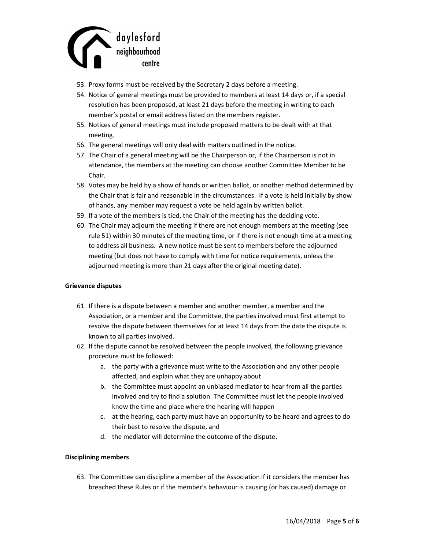

- 53. Proxy forms must be received by the Secretary 2 days before a meeting.
- 54. Notice of general meetings must be provided to members at least 14 days or, if a special resolution has been proposed, at least 21 days before the meeting in writing to each member's postal or email address listed on the members register.
- 55. Notices of general meetings must include proposed matters to be dealt with at that meeting.
- 56. The general meetings will only deal with matters outlined in the notice.
- 57. The Chair of a general meeting will be the Chairperson or, if the Chairperson is not in attendance, the members at the meeting can choose another Committee Member to be Chair.
- 58. Votes may be held by a show of hands or written ballot, or another method determined by the Chair that is fair and reasonable in the circumstances. If a vote is held initially by show of hands, any member may request a vote be held again by written ballot.
- 59. If a vote of the members is tied, the Chair of the meeting has the deciding vote.
- 60. The Chair may adjourn the meeting if there are not enough members at the meeting (see rule 51) within 30 minutes of the meeting time, or if there is not enough time at a meeting to address all business. A new notice must be sent to members before the adjourned meeting (but does not have to comply with time for notice requirements, unless the adjourned meeting is more than 21 days after the original meeting date).

### Grievance disputes

- 61. If there is a dispute between a member and another member, a member and the Association, or a member and the Committee, the parties involved must first attempt to resolve the dispute between themselves for at least 14 days from the date the dispute is known to all parties involved.
- 62. If the dispute cannot be resolved between the people involved, the following grievance procedure must be followed:
	- a. the party with a grievance must write to the Association and any other people affected, and explain what they are unhappy about
	- b. the Committee must appoint an unbiased mediator to hear from all the parties involved and try to find a solution. The Committee must let the people involved know the time and place where the hearing will happen
	- c. at the hearing, each party must have an opportunity to be heard and agrees to do their best to resolve the dispute, and
	- d. the mediator will determine the outcome of the dispute.

### Disciplining members

63. The Committee can discipline a member of the Association if it considers the member has breached these Rules or if the member's behaviour is causing (or has caused) damage or